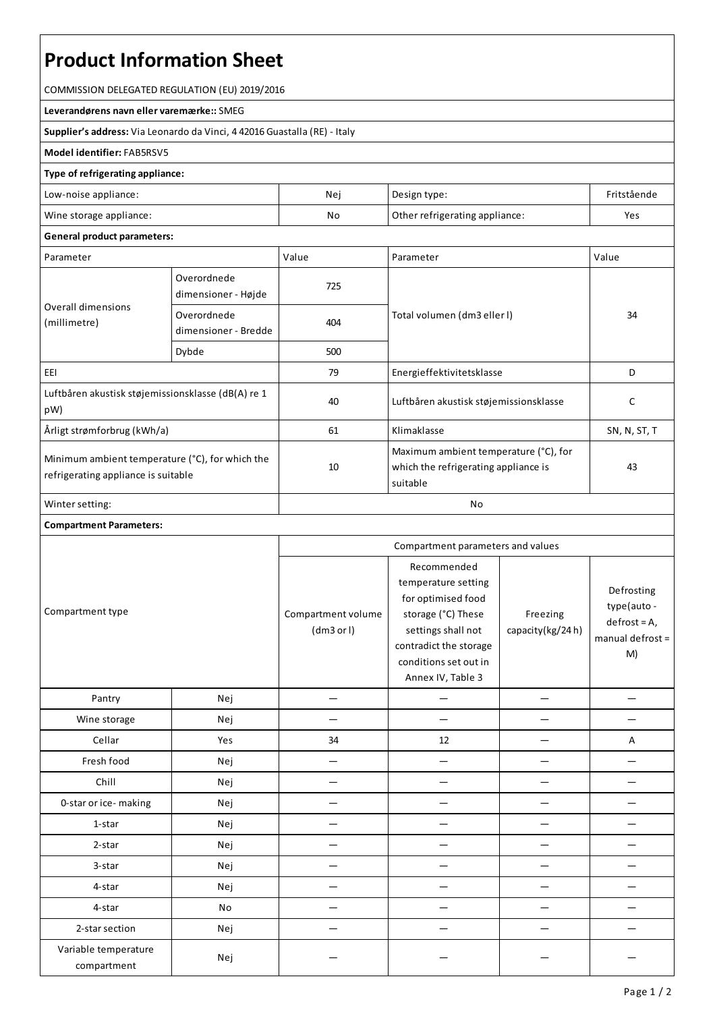# **Product Information Sheet**

COMMISSION DELEGATED REGULATION (EU) 2019/2016

**Leverandørens navn ellervaremærke::**SMEG

**Supplier's address:** ViaLeonardo da Vinci, 4 42016 Guastalla(RE) - Italy

# **Model identifier:**FAB5RSV5

### **Type of refrigerating appliance:**

| Low-noise appliance:    | Nei | Design type:                   | Fritstående |
|-------------------------|-----|--------------------------------|-------------|
| Wine storage appliance: | No  | Other refrigerating appliance: | Yes         |

# **General product parameters:**

| Parameter                                                                              |                                     | Value | Parameter                                                                                 | Value        |  |
|----------------------------------------------------------------------------------------|-------------------------------------|-------|-------------------------------------------------------------------------------------------|--------------|--|
| Overall dimensions<br>(millimetre)                                                     | Overordnede<br>dimensioner - Højde  | 725   |                                                                                           | 34           |  |
|                                                                                        | Overordnede<br>dimensioner - Bredde | 404   | Total volumen (dm3 eller l)                                                               |              |  |
|                                                                                        | Dybde                               | 500   |                                                                                           |              |  |
| EEI                                                                                    |                                     | 79    | Energieffektivitetsklasse                                                                 | D            |  |
| Luftbåren akustisk støjemissionsklasse (dB(A) re 1<br>pW)                              |                                     | 40    | Luftbåren akustisk støjemissionsklasse                                                    | C            |  |
| Årligt strømforbrug (kWh/a)                                                            |                                     | 61    | Klimaklasse                                                                               | SN, N, ST, T |  |
| Minimum ambient temperature (°C), for which the<br>refrigerating appliance is suitable |                                     | 10    | Maximum ambient temperature (°C), for<br>which the refrigerating appliance is<br>suitable | 43           |  |
| Winter setting:                                                                        |                                     | No    |                                                                                           |              |  |

#### **Compartment Parameters:**

|                                     |     | Compartment parameters and values |                                                                                                                                                                              |                              |                                                                      |
|-------------------------------------|-----|-----------------------------------|------------------------------------------------------------------------------------------------------------------------------------------------------------------------------|------------------------------|----------------------------------------------------------------------|
| Compartment type                    |     | Compartment volume<br>(dm3 or l)  | Recommended<br>temperature setting<br>for optimised food<br>storage (°C) These<br>settings shall not<br>contradict the storage<br>conditions set out in<br>Annex IV, Table 3 | Freezing<br>capacity(kg/24h) | Defrosting<br>type(auto-<br>$defrost = A,$<br>manual defrost =<br>M) |
| Pantry                              | Nej |                                   |                                                                                                                                                                              |                              |                                                                      |
| Wine storage                        | Nej |                                   |                                                                                                                                                                              |                              |                                                                      |
| Cellar                              | Yes | 34                                | 12                                                                                                                                                                           |                              | Α                                                                    |
| Fresh food                          | Nej |                                   |                                                                                                                                                                              |                              |                                                                      |
| Chill                               | Nej |                                   |                                                                                                                                                                              |                              |                                                                      |
| 0-star or ice-making                | Nej |                                   |                                                                                                                                                                              |                              |                                                                      |
| 1-star                              | Nej |                                   |                                                                                                                                                                              |                              |                                                                      |
| 2-star                              | Nej |                                   |                                                                                                                                                                              |                              |                                                                      |
| 3-star                              | Nej |                                   |                                                                                                                                                                              |                              |                                                                      |
| 4-star                              | Nej |                                   |                                                                                                                                                                              |                              |                                                                      |
| 4-star                              | No  |                                   |                                                                                                                                                                              |                              |                                                                      |
| 2-star section                      | Nej |                                   |                                                                                                                                                                              |                              |                                                                      |
| Variable temperature<br>compartment | Nej |                                   |                                                                                                                                                                              |                              |                                                                      |